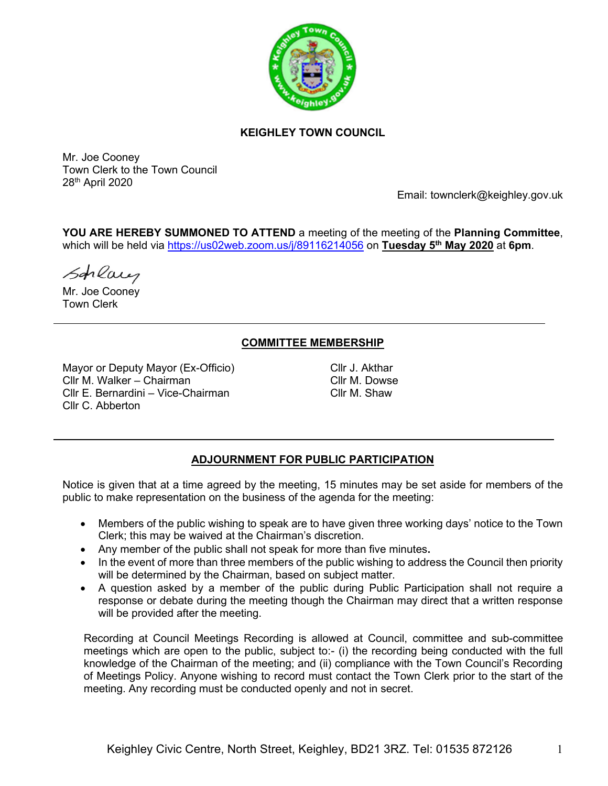

# **KEIGHLEY TOWN COUNCIL**

Mr. Joe Cooney Town Clerk to the Town Council 28th April 2020

Email: townclerk@keighley.gov.uk

**YOU ARE HEREBY SUMMONED TO ATTEND** a meeting of the meeting of the **Planning Committee**, which will be held via <https://us02web.zoom.us/j/89116214056> on **Tuesday 5 th May 2020** at **6pm**.

Schlaus

Mr. Joe Cooney Town Clerk

# **COMMITTEE MEMBERSHIP**

Mayor or Deputy Mayor (Ex-Officio) Cllr M. Walker – Chairman Cllr E. Bernardini – Vice-Chairman Cllr C. Abberton

Cllr J. Akthar Cllr M. Dowse Cllr M. Shaw

# **ADJOURNMENT FOR PUBLIC PARTICIPATION**

Notice is given that at a time agreed by the meeting, 15 minutes may be set aside for members of the public to make representation on the business of the agenda for the meeting:

- Members of the public wishing to speak are to have given three working days' notice to the Town Clerk; this may be waived at the Chairman's discretion.
- Any member of the public shall not speak for more than five minutes**.**
- In the event of more than three members of the public wishing to address the Council then priority will be determined by the Chairman, based on subject matter.
- A question asked by a member of the public during Public Participation shall not require a response or debate during the meeting though the Chairman may direct that a written response will be provided after the meeting.

Recording at Council Meetings Recording is allowed at Council, committee and sub-committee meetings which are open to the public, subject to:- (i) the recording being conducted with the full knowledge of the Chairman of the meeting; and (ii) compliance with the Town Council's Recording of Meetings Policy. Anyone wishing to record must contact the Town Clerk prior to the start of the meeting. Any recording must be conducted openly and not in secret.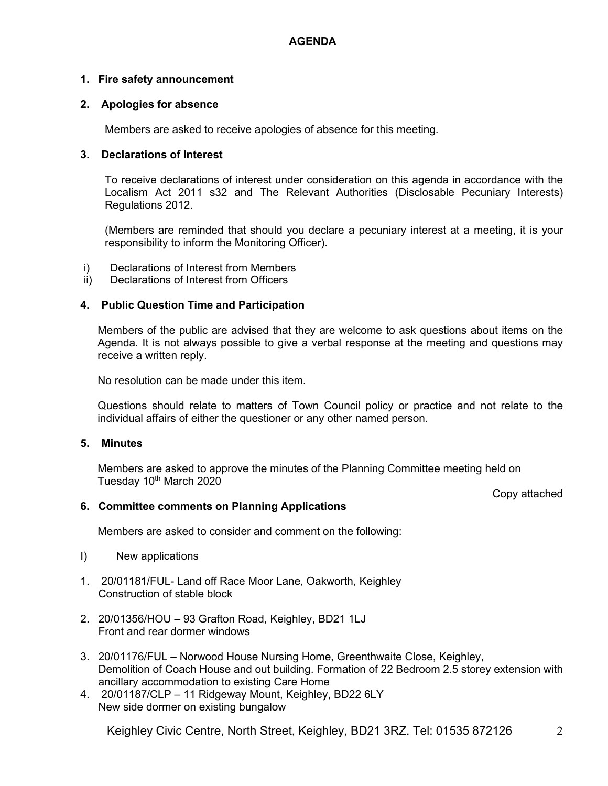# **1. Fire safety announcement**

# **2. Apologies for absence**

Members are asked to receive apologies of absence for this meeting.

# **3. Declarations of Interest**

To receive declarations of interest under consideration on this agenda in accordance with the Localism Act 2011 s32 and The Relevant Authorities (Disclosable Pecuniary Interests) Regulations 2012.

(Members are reminded that should you declare a pecuniary interest at a meeting, it is your responsibility to inform the Monitoring Officer).

- i) Declarations of Interest from Members
- ii) Declarations of Interest from Officers

# **4. Public Question Time and Participation**

Members of the public are advised that they are welcome to ask questions about items on the Agenda. It is not always possible to give a verbal response at the meeting and questions may receive a written reply.

No resolution can be made under this item.

Questions should relate to matters of Town Council policy or practice and not relate to the individual affairs of either the questioner or any other named person.

### **5. Minutes**

Members are asked to approve the minutes of the Planning Committee meeting held on Tuesday 10<sup>th</sup> March 2020

Copy attached

# **6. Committee comments on Planning Applications**

Members are asked to consider and comment on the following:

- I) New applications
- 1. 20/01181/FUL- Land off Race Moor Lane, Oakworth, Keighley Construction of stable block
- 2. 20/01356/HOU 93 Grafton Road, Keighley, BD21 1LJ Front and rear dormer windows
- 3. 20/01176/FUL Norwood House Nursing Home, Greenthwaite Close, Keighley, Demolition of Coach House and out building. Formation of 22 Bedroom 2.5 storey extension with ancillary accommodation to existing Care Home
- 4. 20/01187/CLP 11 Ridgeway Mount, Keighley, BD22 6LY New side dormer on existing bungalow

Keighley Civic Centre, North Street, Keighley, BD21 3RZ. Tel: 01535 872126 2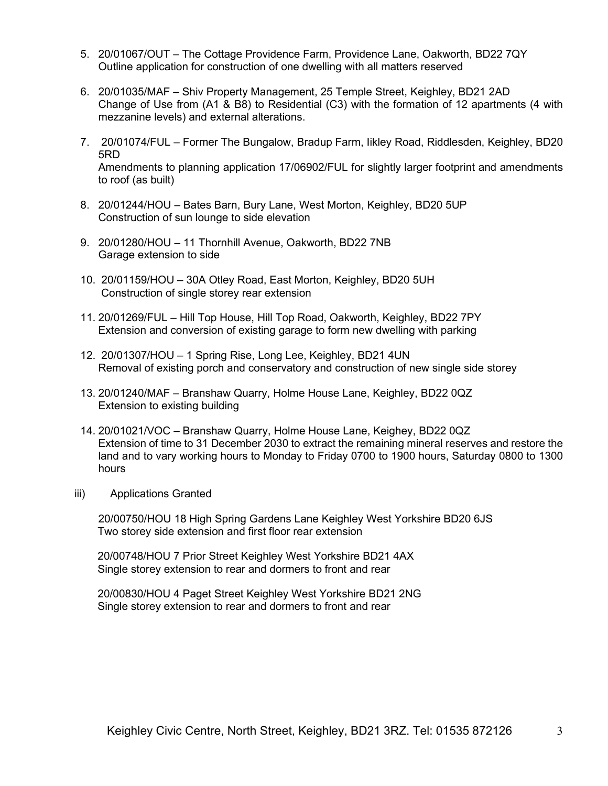- 5. 20/01067/OUT The Cottage Providence Farm, Providence Lane, Oakworth, BD22 7QY Outline application for construction of one dwelling with all matters reserved
- 6. 20/01035/MAF Shiv Property Management, 25 Temple Street, Keighley, BD21 2AD Change of Use from (A1 & B8) to Residential (C3) with the formation of 12 apartments (4 with mezzanine levels) and external alterations.
- 7. 20/01074/FUL Former The Bungalow, Bradup Farm, Iikley Road, Riddlesden, Keighley, BD20 5RD Amendments to planning application 17/06902/FUL for slightly larger footprint and amendments to roof (as built)
- 8. 20/01244/HOU Bates Barn, Bury Lane, West Morton, Keighley, BD20 5UP Construction of sun lounge to side elevation
- 9. 20/01280/HOU 11 Thornhill Avenue, Oakworth, BD22 7NB Garage extension to side
- 10. 20/01159/HOU 30A Otley Road, East Morton, Keighley, BD20 5UH Construction of single storey rear extension
- 11. 20/01269/FUL Hill Top House, Hill Top Road, Oakworth, Keighley, BD22 7PY Extension and conversion of existing garage to form new dwelling with parking
- 12. 20/01307/HOU 1 Spring Rise, Long Lee, Keighley, BD21 4UN Removal of existing porch and conservatory and construction of new single side storey
- 13. 20/01240/MAF Branshaw Quarry, Holme House Lane, Keighley, BD22 0QZ Extension to existing building
- 14. 20/01021/VOC Branshaw Quarry, Holme House Lane, Keighey, BD22 0QZ Extension of time to 31 December 2030 to extract the remaining mineral reserves and restore the land and to vary working hours to Monday to Friday 0700 to 1900 hours, Saturday 0800 to 1300 hours
- iii) Applications Granted

20/00750/HOU 18 High Spring Gardens Lane Keighley West Yorkshire BD20 6JS Two storey side extension and first floor rear extension

20/00748/HOU 7 Prior Street Keighley West Yorkshire BD21 4AX Single storey extension to rear and dormers to front and rear

20/00830/HOU 4 Paget Street Keighley West Yorkshire BD21 2NG Single storey extension to rear and dormers to front and rear